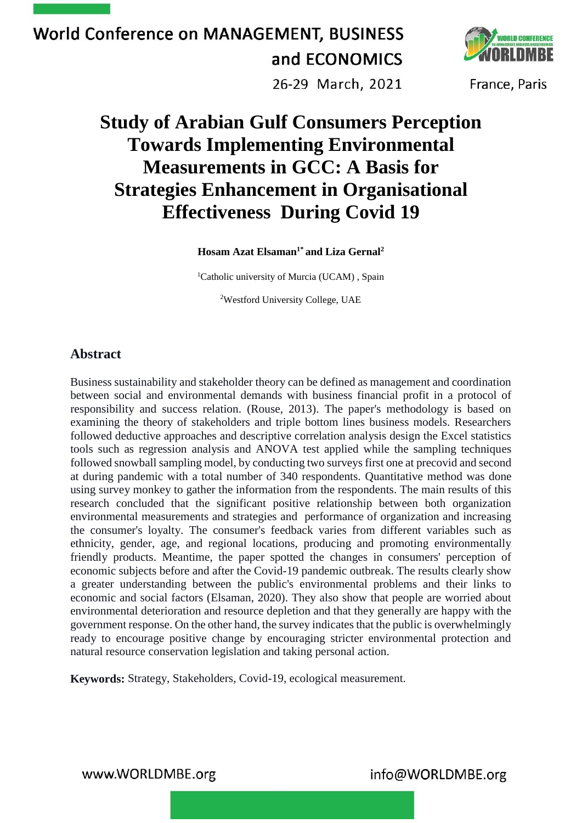

26-29 March, 2021

France, Paris

### **Study of Arabian Gulf Consumers Perception Towards Implementing Environmental Measurements in GCC: A Basis for Strategies Enhancement in Organisational Effectiveness During Covid 19**

**Hosam Azat Elsaman1\* and Liza Gernal<sup>2</sup>**

<sup>1</sup>Catholic university of Murcia (UCAM), Spain

<sup>2</sup>Westford University College, UAE

### **Abstract**

Business sustainability and stakeholder theory can be defined as management and coordination between social and environmental demands with business financial profit in a protocol of responsibility and success relation. (Rouse, 2013). The paper's methodology is based on examining the theory of stakeholders and triple bottom lines business models. Researchers followed deductive approaches and descriptive correlation analysis design the Excel statistics tools such as regression analysis and ANOVA test applied while the sampling techniques followed snowball sampling model, by conducting two surveys first one at precovid and second at during pandemic with a total number of 340 respondents. Quantitative method was done using survey monkey to gather the information from the respondents. The main results of this research concluded that the significant positive relationship between both organization environmental measurements and strategies and performance of organization and increasing the consumer's loyalty. The consumer's feedback varies from different variables such as ethnicity, gender, age, and regional locations, producing and promoting environmentally friendly products. Meantime, the paper spotted the changes in consumers' perception of economic subjects before and after the Covid-19 pandemic outbreak. The results clearly show a greater understanding between the public's environmental problems and their links to economic and social factors (Elsaman, 2020). They also show that people are worried about environmental deterioration and resource depletion and that they generally are happy with the government response. On the other hand, the survey indicates that the public is overwhelmingly ready to encourage positive change by encouraging stricter environmental protection and natural resource conservation legislation and taking personal action.

**Keywords:** Strategy, Stakeholders, Covid-19, ecological measurement.

www.WORLDMBE.org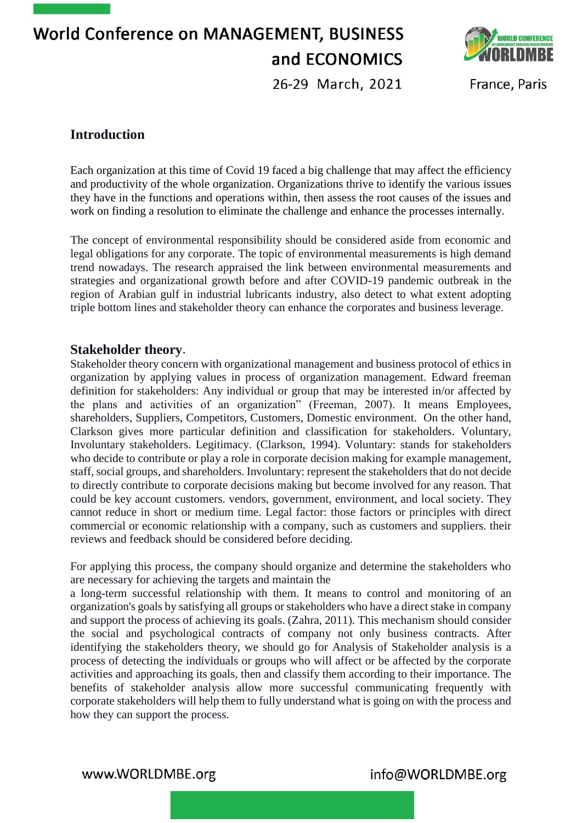

26-29 March, 2021

France, Paris

### **Introduction**

Each organization at this time of Covid 19 faced a big challenge that may affect the efficiency and productivity of the whole organization. Organizations thrive to identify the various issues they have in the functions and operations within, then assess the root causes of the issues and work on finding a resolution to eliminate the challenge and enhance the processes internally.

The concept of environmental responsibility should be considered aside from economic and legal obligations for any corporate. The topic of environmental measurements is high demand trend nowadays. The research appraised the link between environmental measurements and strategies and organizational growth before and after COVID-19 pandemic outbreak in the region of Arabian gulf in industrial lubricants industry, also detect to what extent adopting triple bottom lines and stakeholder theory can enhance the corporates and business leverage.

### **Stakeholder theory**.

Stakeholder theory concern with organizational management and business protocol of ethics in organization by applying values in process of organization management. Edward freeman definition for stakeholders: Any individual or group that may be interested in/or affected by the plans and activities of an organization" (Freeman, 2007). It means Employees, shareholders, Suppliers, Competitors, Customers, Domestic environment. On the other hand, Clarkson gives more particular definition and classification for stakeholders. Voluntary, Involuntary stakeholders. Legitimacy. (Clarkson, 1994). Voluntary: stands for stakeholders who decide to contribute or play a role in corporate decision making for example management, staff, social groups, and shareholders. Involuntary: represent the stakeholders that do not decide to directly contribute to corporate decisions making but become involved for any reason. That could be key account customers. vendors, government, environment, and local society. They cannot reduce in short or medium time. Legal factor: those factors or principles with direct commercial or economic relationship with a company, such as customers and suppliers. their reviews and feedback should be considered before deciding.

For applying this process, the company should organize and determine the stakeholders who are necessary for achieving the targets and maintain the

a long-term successful relationship with them. It means to control and monitoring of an organization's goals by satisfying all groups or stakeholders who have a direct stake in company and support the process of achieving its goals. (Zahra, 2011). This mechanism should consider the social and psychological contracts of company not only business contracts. After identifying the stakeholders theory, we should go for Analysis of Stakeholder analysis is a process of detecting the individuals or groups who will affect or be affected by the corporate activities and approaching its goals, then and classify them according to their importance. The benefits of stakeholder analysis allow more successful communicating frequently with corporate stakeholders will help them to fully understand what is going on with the process and how they can support the process.

www.WORLDMBE.org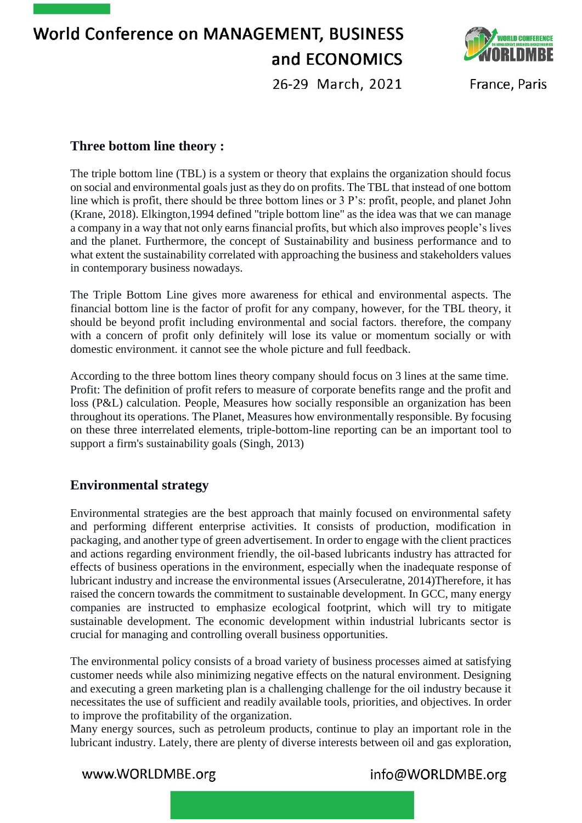**World Conference on MANAGEMENT, BUSINESS** and ECONOMICS 26-29 March, 2021



France, Paris

### **Three bottom line theory :**

The triple bottom line (TBL) is a system or theory that explains the organization should focus on social and environmental goals just as they do on profits. The TBL that instead of one bottom line which is profit, there should be three bottom lines or 3 P's: profit, people, and planet John (Krane, 2018). Elkington,1994 defined "triple bottom line" as the idea was that we can manage a company in a way that not only earns financial profits, but which also improves people's lives and the planet. Furthermore, the concept of Sustainability and business performance and to what extent the sustainability correlated with approaching the business and stakeholders values in contemporary business nowadays.

The Triple Bottom Line gives more awareness for ethical and environmental aspects. The financial bottom line is the factor of profit for any company, however, for the TBL theory, it should be beyond profit including environmental and social factors. therefore, the company with a concern of profit only definitely will lose its value or momentum socially or with domestic environment. it cannot see the whole picture and full feedback.

According to the three bottom lines theory company should focus on 3 lines at the same time. Profit: The definition of profit refers to measure of corporate benefits range and the profit and loss (P&L) calculation. People, Measures how socially responsible an organization has been throughout its operations. The Planet, Measures how environmentally responsible. By focusing on these three interrelated elements, triple-bottom-line reporting can be an important tool to support a firm's sustainability goals (Singh, 2013)

### **Environmental strategy**

Environmental strategies are the best approach that mainly focused on environmental safety and performing different enterprise activities. It consists of production, modification in packaging, and another type of green advertisement. In order to engage with the client practices and actions regarding environment friendly, the oil-based lubricants industry has attracted for effects of business operations in the environment, especially when the inadequate response of lubricant industry and increase the environmental issues (Arseculeratne, 2014)Therefore, it has raised the concern towards the commitment to sustainable development. In GCC, many energy companies are instructed to emphasize ecological footprint, which will try to mitigate sustainable development. The economic development within industrial lubricants sector is crucial for managing and controlling overall business opportunities.

The environmental policy consists of a broad variety of business processes aimed at satisfying customer needs while also minimizing negative effects on the natural environment. Designing and executing a green marketing plan is a challenging challenge for the oil industry because it necessitates the use of sufficient and readily available tools, priorities, and objectives. In order to improve the profitability of the organization.

Many energy sources, such as petroleum products, continue to play an important role in the lubricant industry. Lately, there are plenty of diverse interests between oil and gas exploration,

www.WORLDMBE.org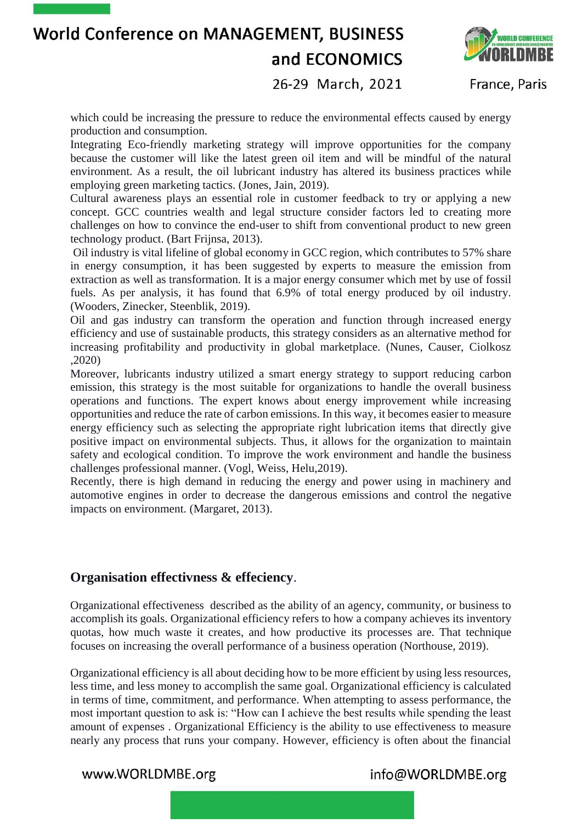

26-29 March, 2021

France, Paris

which could be increasing the pressure to reduce the environmental effects caused by energy production and consumption.

Integrating Eco-friendly marketing strategy will improve opportunities for the company because the customer will like the latest green oil item and will be mindful of the natural environment. As a result, the oil lubricant industry has altered its business practices while employing green marketing tactics. (Jones, Jain, 2019).

Cultural awareness plays an essential role in customer feedback to try or applying a new concept. GCC countries wealth and legal structure consider factors led to creating more challenges on how to convince the end-user to shift from conventional product to new green technology product. (Bart Frijnsa, 2013).

Oil industry is vital lifeline of global economy in GCC region, which contributes to 57% share in energy consumption, it has been suggested by experts to measure the emission from extraction as well as transformation. It is a major energy consumer which met by use of fossil fuels. As per analysis, it has found that 6.9% of total energy produced by oil industry. (Wooders, Zinecker, Steenblik, 2019).

Oil and gas industry can transform the operation and function through increased energy efficiency and use of sustainable products, this strategy considers as an alternative method for increasing profitability and productivity in global marketplace. (Nunes, Causer, Ciolkosz ,2020)

Moreover, lubricants industry utilized a smart energy strategy to support reducing carbon emission, this strategy is the most suitable for organizations to handle the overall business operations and functions. The expert knows about energy improvement while increasing opportunities and reduce the rate of carbon emissions. In this way, it becomes easier to measure energy efficiency such as selecting the appropriate right lubrication items that directly give positive impact on environmental subjects. Thus, it allows for the organization to maintain safety and ecological condition. To improve the work environment and handle the business challenges professional manner. (Vogl, Weiss, Helu,2019).

Recently, there is high demand in reducing the energy and power using in machinery and automotive engines in order to decrease the dangerous emissions and control the negative impacts on environment. (Margaret, 2013).

### **Organisation effectivness & effeciency**.

Organizational effectiveness described as the ability of an agency, community, or business to accomplish its goals. Organizational efficiency refers to how a company achieves its inventory quotas, how much waste it creates, and how productive its processes are. That technique focuses on increasing the overall performance of a business operation (Northouse, 2019).

Organizational efficiency is all about deciding how to be more efficient by using less resources, less time, and less money to accomplish the same goal. Organizational efficiency is calculated in terms of time, commitment, and performance. When attempting to assess performance, the most important question to ask is: "How can I achieve the best results while spending the least amount of expenses . Organizational Efficiency is the ability to use effectiveness to measure nearly any process that runs your company. However, efficiency is often about the financial

www.WORLDMBE.org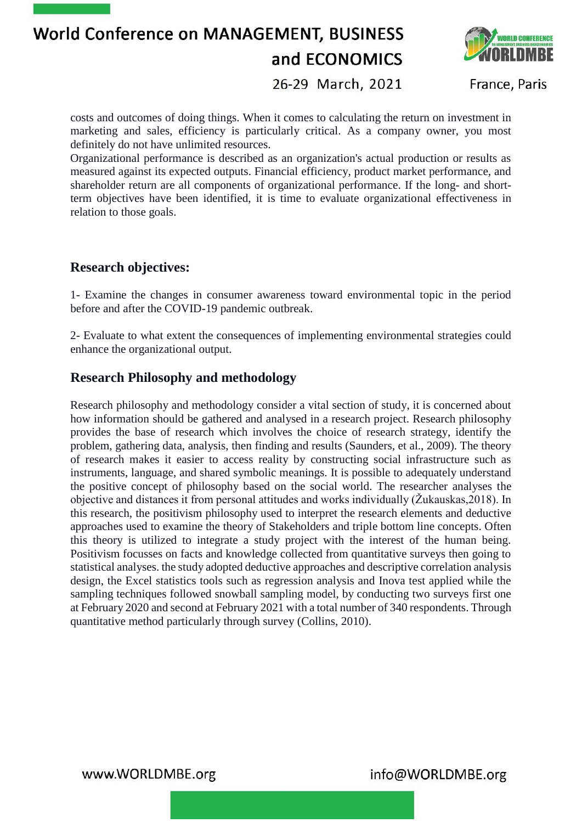

26-29 March, 2021

France, Paris

costs and outcomes of doing things. When it comes to calculating the return on investment in marketing and sales, efficiency is particularly critical. As a company owner, you most definitely do not have unlimited resources.

Organizational performance is described as an organization's actual production or results as measured against its expected outputs. Financial efficiency, product market performance, and shareholder return are all components of organizational performance. If the long- and shortterm objectives have been identified, it is time to evaluate organizational effectiveness in relation to those goals.

### **Research objectives:**

1- Examine the changes in consumer awareness toward environmental topic in the period before and after the COVID-19 pandemic outbreak.

2- Evaluate to what extent the consequences of implementing environmental strategies could enhance the organizational output.

### **Research Philosophy and methodology**

Research philosophy and methodology consider a vital section of study, it is concerned about how information should be gathered and analysed in a research project. Research philosophy provides the base of research which involves the choice of research strategy, identify the problem, gathering data, analysis, then finding and results (Saunders, et al., 2009). The theory of research makes it easier to access reality by constructing social infrastructure such as instruments, language, and shared symbolic meanings. It is possible to adequately understand the positive concept of philosophy based on the social world. The researcher analyses the objective and distances it from personal attitudes and works individually (Žukauskas,2018). In this research, the positivism philosophy used to interpret the research elements and deductive approaches used to examine the theory of Stakeholders and triple bottom line concepts. Often this theory is utilized to integrate a study project with the interest of the human being. Positivism focusses on facts and knowledge collected from quantitative surveys then going to statistical analyses. the study adopted deductive approaches and descriptive correlation analysis design, the Excel statistics tools such as regression analysis and Inova test applied while the sampling techniques followed snowball sampling model, by conducting two surveys first one at February 2020 and second at February 2021 with a total number of 340 respondents. Through quantitative method particularly through survey (Collins, 2010).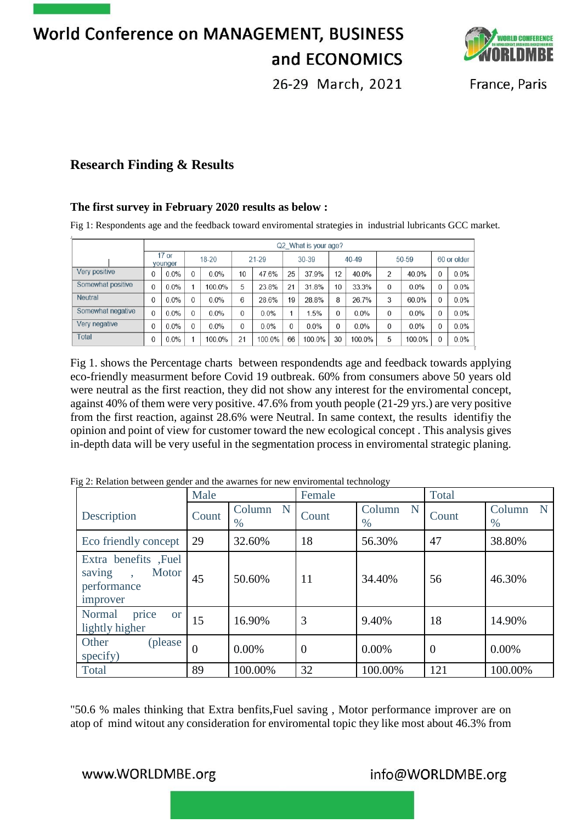

26-29 March, 2021

France, Paris

### **Research Finding & Results**

#### **The first survey in February 2020 results as below :**

Fig 1: Respondents age and the feedback toward enviromental strategies in industrial lubricants GCC market.

|                   | Q2 What is your age? |         |              |         |          |        |       |        |       |        |          |        |             |      |
|-------------------|----------------------|---------|--------------|---------|----------|--------|-------|--------|-------|--------|----------|--------|-------------|------|
|                   | $17$ or<br>vounger   |         | $18-20$      |         | 21-29    |        | 30-39 |        | 40-49 |        | 50-59    |        | 60 or older |      |
| Very positive     | 0                    | 0.0%    | 0            | 0.0%    | 10       | 47.6%  | 25    | 37.9%  | 12    | 40.0%  | 2        | 40.0%  | 0           | 0.0% |
| Somewhat positive | 0                    | $0.0\%$ |              | 100.0%  | 5        | 23.8%  | 21    | 31.8%  | 10    | 33.3%  | 0        | 0.0%   | 0           | 0.0% |
| <b>Neutral</b>    | 0                    | $0.0\%$ | $\mathbf{0}$ | $0.0\%$ | 6        | 28.6%  | 19    | 28.8%  | 8     | 26.7%  | 3        | 60.0%  | 0           | 0.0% |
| Somewhat negative | 0                    | 0.0%    | $\Omega$     | 0.0%    | $\Omega$ | 0.0%   |       | 1.5%   | 0     | 0.0%   | $\Omega$ | 0.0%   | 0           | 0.0% |
| Very negative     | 0                    | 0.0%    | 0            | 0.0%    | $\Omega$ | 0.0%   | 0     | 0.0%   | 0     | 0.0%   | 0        | 0.0%   | 0           | 0.0% |
| Total             | 0                    | 0.0%    |              | 100.0%  | 21       | 100.0% | 66    | 100.0% | 30    | 100.0% | 5        | 100.0% | 0           | 0.0% |

Fig 1. shows the Percentage charts between respondendts age and feedback towards applying eco-friendly measurment before Covid 19 outbreak. 60% from consumers above 50 years old were neutral as the first reaction, they did not show any interest for the enviromental concept, against 40% of them were very positive. 47.6% from youth people (21-29 yrs.) are very positive from the first reaction, against 28.6% were Neutral. In same context, the results identifiy the opinion and point of view for customer toward the new ecological concept . This analysis gives in-depth data will be very useful in the segmentation process in enviromental strategic planing.

|                                                                                             | Male           |                  | Female   |                  | Total          |                  |  |
|---------------------------------------------------------------------------------------------|----------------|------------------|----------|------------------|----------------|------------------|--|
| Description                                                                                 | Count          | Column N<br>$\%$ | Count    | Column N<br>$\%$ | Count          | Column<br>N<br>% |  |
| Eco friendly concept                                                                        | 29             | 32.60%           | 18       | 56.30%           | 47             | 38.80%           |  |
| Extra benefits , Fuel<br>Motor<br>saving<br>$\ddot{\phantom{0}}$<br>performance<br>improver | 45             | 50.60%           | 11       | 34.40%           | 56             | 46.30%           |  |
| Normal<br>price<br><b>or</b><br>lightly higher                                              | 15             | 16.90%           | 3        | 9.40%            | 18             | 14.90%           |  |
| Other<br>(please)<br>specify)                                                               | $\overline{0}$ | $0.00\%$         | $\theta$ | $0.00\%$         | $\overline{0}$ | $0.00\%$         |  |
| Total                                                                                       | 89             | 100.00%          | 32       | 100.00%          | 121            | 100.00%          |  |

Fig 2: Relation between gender and the awarnes for new enviromental technology

"50.6 % males thinking that Extra benfits,Fuel saving , Motor performance improver are on atop of mind witout any consideration for enviromental topic they like most about 46.3% from

### www.WORLDMBE.org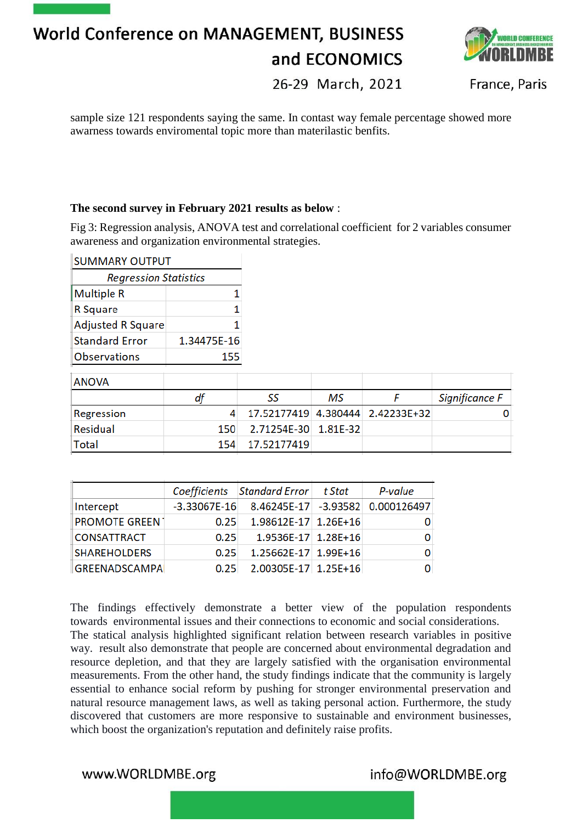

26-29 March, 2021

France, Paris

sample size 121 respondents saying the same. In contast way female percentage showed more awarness towards enviromental topic more than materilastic benfits.

#### **The second survey in February 2021 results as below** :

Fig 3: Regression analysis, ANOVA test and correlational coefficient for 2 variables consumer awareness and organization environmental strategies.

| <b>SUMMARY OUTPUT</b>        |             |             |          |             |                |
|------------------------------|-------------|-------------|----------|-------------|----------------|
| <b>Regression Statistics</b> |             |             |          |             |                |
| <b>Multiple R</b>            |             |             |          |             |                |
| R Square                     |             |             |          |             |                |
| <b>Adjusted R Square</b>     |             |             |          |             |                |
| <b>Standard Error</b>        | 1.34475E-16 |             |          |             |                |
| <b>Observations</b>          | 155         |             |          |             |                |
| <b>ANOVA</b>                 |             |             |          |             |                |
|                              | df          | SS          | MS       | F           | Significance F |
| Regression                   | 4           | 17.52177419 | 4.380444 | 2.42233E+32 |                |
| Residual                     | 150         | 2.71254E-30 | 1.81E-32 |             |                |
| Total                        | 154         | 17.52177419 |          |             |                |
|                              |             |             |          |             |                |

|                       |                  | Coefficients Standard Error | t Stat | P-value                          |
|-----------------------|------------------|-----------------------------|--------|----------------------------------|
| Intercept             | $-3.33067E - 16$ |                             |        | 8.46245E-17 -3.93582 0.000126497 |
| <b>PROMOTE GREEN1</b> | 0.25             | 1.98612E-17 1.26E+16        |        |                                  |
| <b>CONSATTRACT</b>    | 0.25             | 1.9536E-17 1.28E+16         |        |                                  |
| <b>SHAREHOLDERS</b>   | 0.25             | 1.25662E-17 1.99E+16        |        |                                  |
| <b>GREENADSCAMPA</b>  | 0.25             | 2.00305E-17 1.25E+16        |        |                                  |

The findings effectively demonstrate a better view of the population respondents towards environmental issues and their connections to economic and social considerations. The statical analysis highlighted significant relation between research variables in positive way. result also demonstrate that people are concerned about environmental degradation and resource depletion, and that they are largely satisfied with the organisation environmental measurements. From the other hand, the study findings indicate that the community is largely essential to enhance social reform by pushing for stronger environmental preservation and natural resource management laws, as well as taking personal action. Furthermore, the study discovered that customers are more responsive to sustainable and environment businesses, which boost the organization's reputation and definitely raise profits.

www.WORLDMBE.org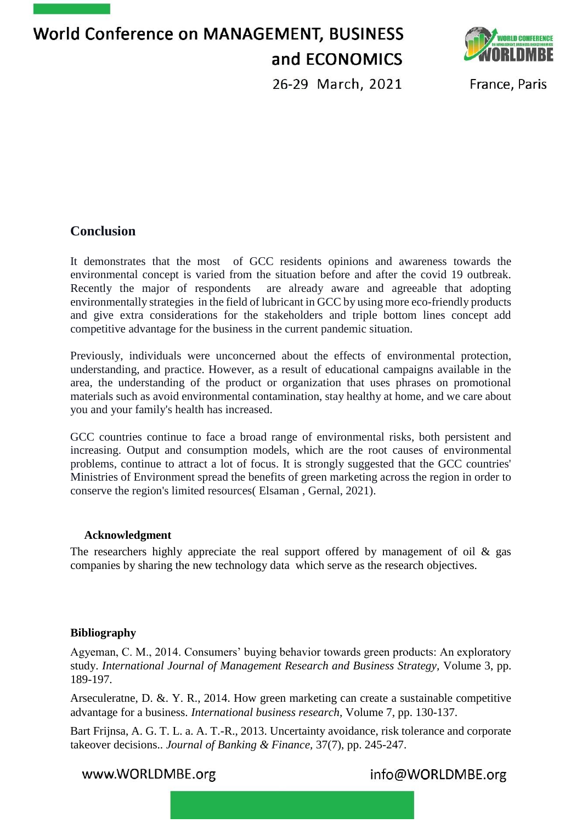

26-29 March, 2021

France, Paris

### **Conclusion**

It demonstrates that the most of GCC residents opinions and awareness towards the environmental concept is varied from the situation before and after the covid 19 outbreak. Recently the major of respondents are already aware and agreeable that adopting environmentally strategies in the field of lubricant in GCC by using more eco-friendly products and give extra considerations for the stakeholders and triple bottom lines concept add competitive advantage for the business in the current pandemic situation.

Previously, individuals were unconcerned about the effects of environmental protection, understanding, and practice. However, as a result of educational campaigns available in the area, the understanding of the product or organization that uses phrases on promotional materials such as avoid environmental contamination, stay healthy at home, and we care about you and your family's health has increased.

GCC countries continue to face a broad range of environmental risks, both persistent and increasing. Output and consumption models, which are the root causes of environmental problems, continue to attract a lot of focus. It is strongly suggested that the GCC countries' Ministries of Environment spread the benefits of green marketing across the region in order to conserve the region's limited resources( Elsaman , Gernal, 2021).

#### **Acknowledgment**

The researchers highly appreciate the real support offered by management of oil  $\&$  gas companies by sharing the new technology data which serve as the research objectives.

#### **Bibliography**

Agyeman, C. M., 2014. Consumers' buying behavior towards green products: An exploratory study. *International Journal of Management Research and Business Strategy,* Volume 3, pp. 189-197.

Arseculeratne, D. &. Y. R., 2014. How green marketing can create a sustainable competitive advantage for a business. *International business research,* Volume 7, pp. 130-137.

Bart Frijnsa, A. G. T. L. a. A. T.-R., 2013. Uncertainty avoidance, risk tolerance and corporate takeover decisions.. *Journal of Banking & Finance,* 37(7), pp. 245-247.

www.WORLDMBE.org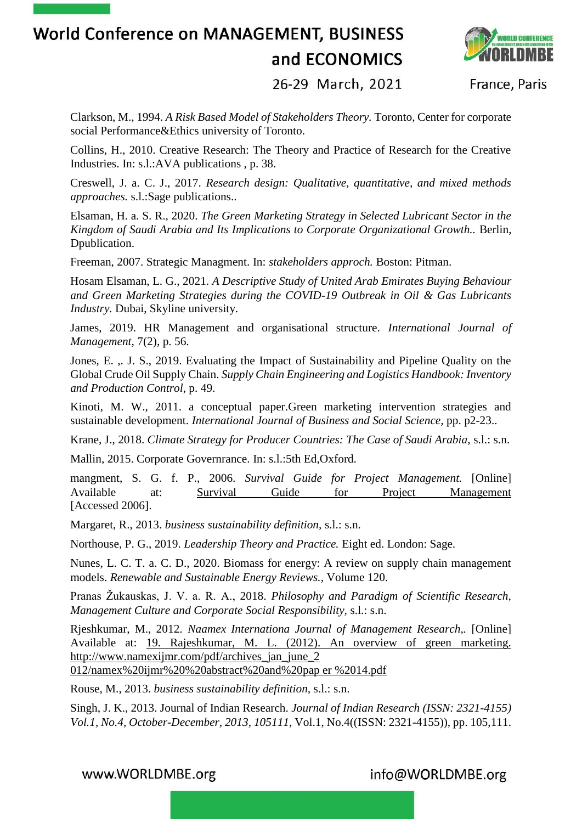

26-29 March, 2021

France, Paris

Clarkson, M., 1994. *A Risk Based Model of Stakeholders Theory.* Toronto, Center for corporate social Performance&Ethics university of Toronto.

Collins, H., 2010. Creative Research: The Theory and Practice of Research for the Creative Industries. In: s.l.:AVA publications , p. 38.

Creswell, J. a. C. J., 2017. *Research design: Qualitative, quantitative, and mixed methods approaches.* s.l.:Sage publications..

Elsaman, H. a. S. R., 2020. *The Green Marketing Strategy in Selected Lubricant Sector in the Kingdom of Saudi Arabia and Its Implications to Corporate Organizational Growth..* Berlin, Dpublication.

Freeman, 2007. Strategic Managment. In: *stakeholders approch.* Boston: Pitman.

Hosam Elsaman, L. G., 2021. *A Descriptive Study of United Arab Emirates Buying Behaviour and Green Marketing Strategies during the COVID-19 Outbreak in Oil & Gas Lubricants Industry.* Dubai, Skyline university.

James, 2019. HR Management and organisational structure. *International Journal of Management,* 7(2), p. 56.

Jones, E. ,. J. S., 2019. Evaluating the Impact of Sustainability and Pipeline Quality on the Global Crude Oil Supply Chain. *Supply Chain Engineering and Logistics Handbook: Inventory and Production Control*, p. 49.

Kinoti, M. W., 2011. a conceptual paper.Green marketing intervention strategies and sustainable development. *International Journal of Business and Social Science,* pp. p2-23..

Krane, J., 2018. *Climate Strategy for Producer Countries: The Case of Saudi Arabia,* s.l.: s.n.

Mallin, 2015. Corporate Governrance. In: s.l.:5th Ed,Oxford.

mangment, S. G. f. P., 2006. *Survival Guide for Project Management.* [Online] Available at: Survival Guide for Project Management [Accessed 2006].

Margaret, R., 2013. *business sustainability definition,* s.l.: s.n.

Northouse, P. G., 2019. *Leadership Theory and Practice.* Eight ed. London: Sage.

Nunes, L. C. T. a. C. D., 2020. Biomass for energy: A review on supply chain management models. *Renewable and Sustainable Energy Reviews.,* Volume 120.

Pranas Žukauskas, J. V. a. R. A., 2018. *Philosophy and Paradigm of Scientific Research, Management Culture and Corporate Social Responsibility,* s.l.: s.n.

Rjeshkumar, M., 2012. *Naamex Internationa Journal of Management Research,.* [Online] Available at: 19. Rajeshkumar, M. L. (2012). An overview of green marketing. http://www.namexijmr.com/pdf/archives\_jan\_june\_2 012/namex%20ijmr%20%20abstract%20and%20pap er %2014.pdf

Rouse, M., 2013. *business sustainability definition,* s.l.: s.n.

Singh, J. K., 2013. Journal of Indian Research. *Journal of Indian Research (ISSN: 2321-4155) Vol.1, No.4, October-December, 2013, 105111,* Vol.1, No.4((ISSN: 2321-4155)), pp. 105,111.

www.WORLDMBE.org